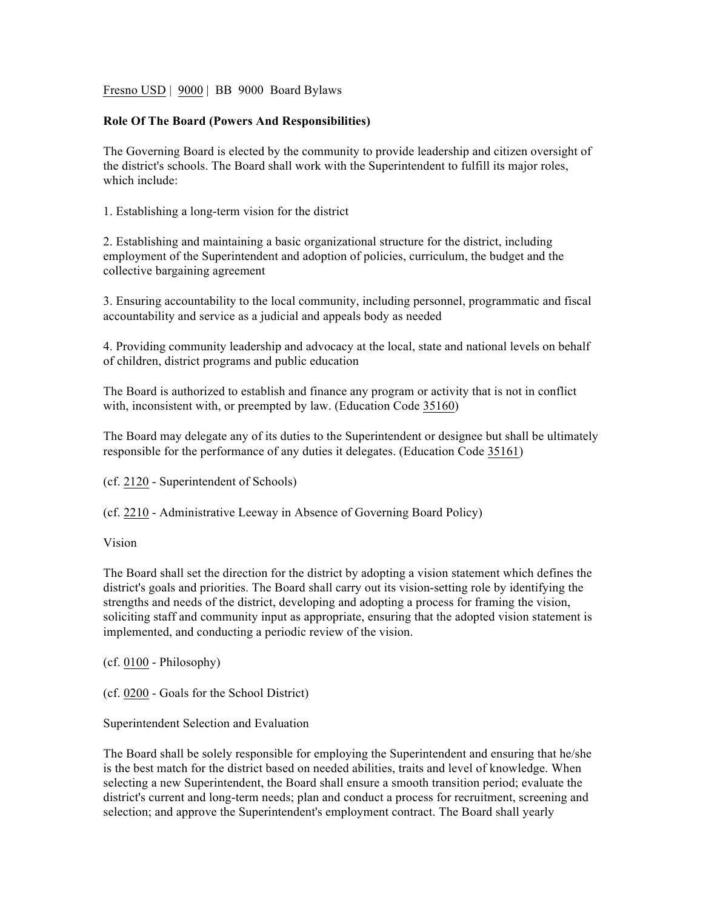Fresno USD | 9000 | BB 9000 Board Bylaws

## **Role Of The Board (Powers And Responsibilities)**

The Governing Board is elected by the community to provide leadership and citizen oversight of the district's schools. The Board shall work with the Superintendent to fulfill its major roles, which include:

1. Establishing a long-term vision for the district

2. Establishing and maintaining a basic organizational structure for the district, including employment of the Superintendent and adoption of policies, curriculum, the budget and the collective bargaining agreement

3. Ensuring accountability to the local community, including personnel, programmatic and fiscal accountability and service as a judicial and appeals body as needed

4. Providing community leadership and advocacy at the local, state and national levels on behalf of children, district programs and public education

The Board is authorized to establish and finance any program or activity that is not in conflict with, inconsistent with, or preempted by law. (Education Code 35160)

The Board may delegate any of its duties to the Superintendent or designee but shall be ultimately responsible for the performance of any duties it delegates. (Education Code 35161)

(cf. 2120 - Superintendent of Schools)

(cf. 2210 - Administrative Leeway in Absence of Governing Board Policy)

Vision

The Board shall set the direction for the district by adopting a vision statement which defines the district's goals and priorities. The Board shall carry out its vision-setting role by identifying the strengths and needs of the district, developing and adopting a process for framing the vision, soliciting staff and community input as appropriate, ensuring that the adopted vision statement is implemented, and conducting a periodic review of the vision.

(cf. 0100 - Philosophy)

(cf. 0200 - Goals for the School District)

Superintendent Selection and Evaluation

The Board shall be solely responsible for employing the Superintendent and ensuring that he/she is the best match for the district based on needed abilities, traits and level of knowledge. When selecting a new Superintendent, the Board shall ensure a smooth transition period; evaluate the district's current and long-term needs; plan and conduct a process for recruitment, screening and selection; and approve the Superintendent's employment contract. The Board shall yearly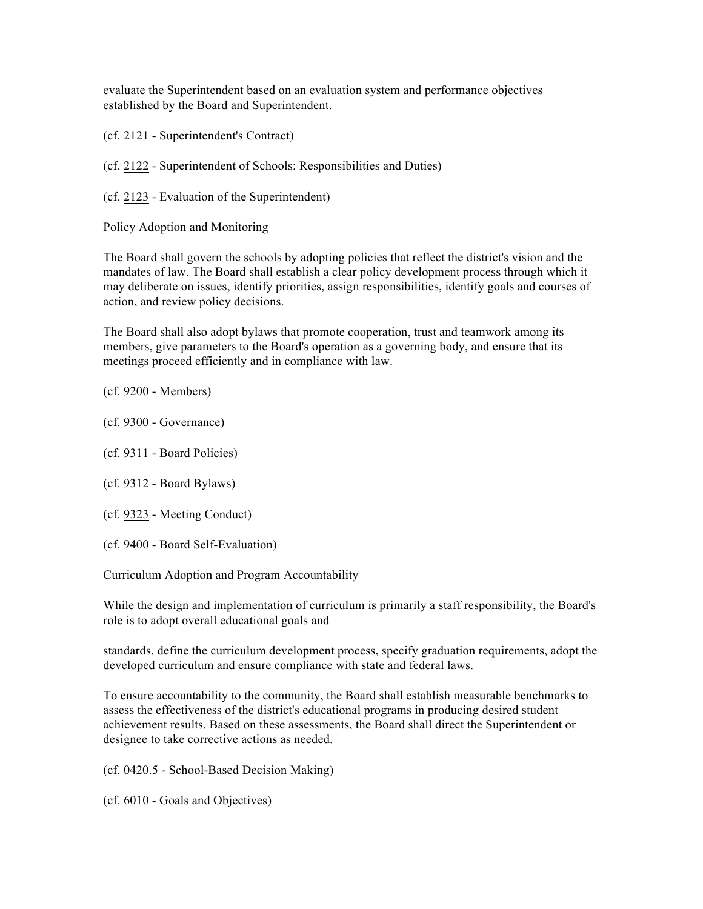evaluate the Superintendent based on an evaluation system and performance objectives established by the Board and Superintendent.

(cf. 2121 - Superintendent's Contract)

(cf. 2122 - Superintendent of Schools: Responsibilities and Duties)

(cf. 2123 - Evaluation of the Superintendent)

Policy Adoption and Monitoring

The Board shall govern the schools by adopting policies that reflect the district's vision and the mandates of law. The Board shall establish a clear policy development process through which it may deliberate on issues, identify priorities, assign responsibilities, identify goals and courses of action, and review policy decisions.

The Board shall also adopt bylaws that promote cooperation, trust and teamwork among its members, give parameters to the Board's operation as a governing body, and ensure that its meetings proceed efficiently and in compliance with law.

(cf. 9200 - Members)

- (cf. 9300 Governance)
- (cf. 9311 Board Policies)
- (cf. 9312 Board Bylaws)
- (cf. 9323 Meeting Conduct)
- (cf. 9400 Board Self-Evaluation)

Curriculum Adoption and Program Accountability

While the design and implementation of curriculum is primarily a staff responsibility, the Board's role is to adopt overall educational goals and

standards, define the curriculum development process, specify graduation requirements, adopt the developed curriculum and ensure compliance with state and federal laws.

To ensure accountability to the community, the Board shall establish measurable benchmarks to assess the effectiveness of the district's educational programs in producing desired student achievement results. Based on these assessments, the Board shall direct the Superintendent or designee to take corrective actions as needed.

(cf. 0420.5 - School-Based Decision Making)

(cf. 6010 - Goals and Objectives)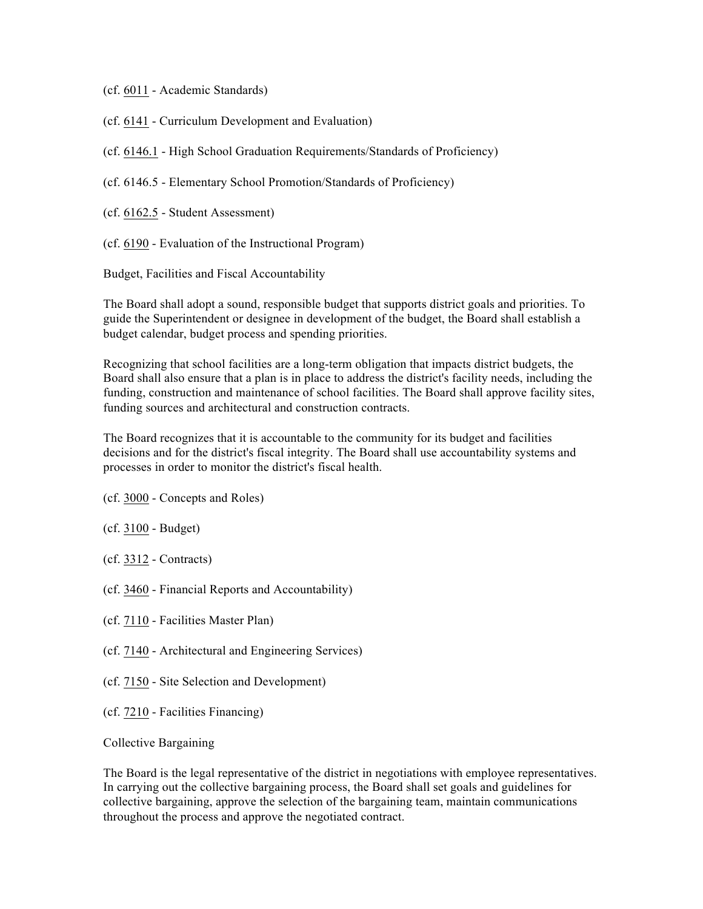- (cf. 6011 Academic Standards)
- (cf. 6141 Curriculum Development and Evaluation)
- (cf. 6146.1 High School Graduation Requirements/Standards of Proficiency)
- (cf. 6146.5 Elementary School Promotion/Standards of Proficiency)
- (cf. 6162.5 Student Assessment)
- (cf. 6190 Evaluation of the Instructional Program)

Budget, Facilities and Fiscal Accountability

The Board shall adopt a sound, responsible budget that supports district goals and priorities. To guide the Superintendent or designee in development of the budget, the Board shall establish a budget calendar, budget process and spending priorities.

Recognizing that school facilities are a long-term obligation that impacts district budgets, the Board shall also ensure that a plan is in place to address the district's facility needs, including the funding, construction and maintenance of school facilities. The Board shall approve facility sites, funding sources and architectural and construction contracts.

The Board recognizes that it is accountable to the community for its budget and facilities decisions and for the district's fiscal integrity. The Board shall use accountability systems and processes in order to monitor the district's fiscal health.

- (cf. 3000 Concepts and Roles)
- (cf. 3100 Budget)
- (cf. 3312 Contracts)
- (cf. 3460 Financial Reports and Accountability)
- (cf. 7110 Facilities Master Plan)
- (cf. 7140 Architectural and Engineering Services)
- (cf. 7150 Site Selection and Development)
- (cf. 7210 Facilities Financing)

## Collective Bargaining

The Board is the legal representative of the district in negotiations with employee representatives. In carrying out the collective bargaining process, the Board shall set goals and guidelines for collective bargaining, approve the selection of the bargaining team, maintain communications throughout the process and approve the negotiated contract.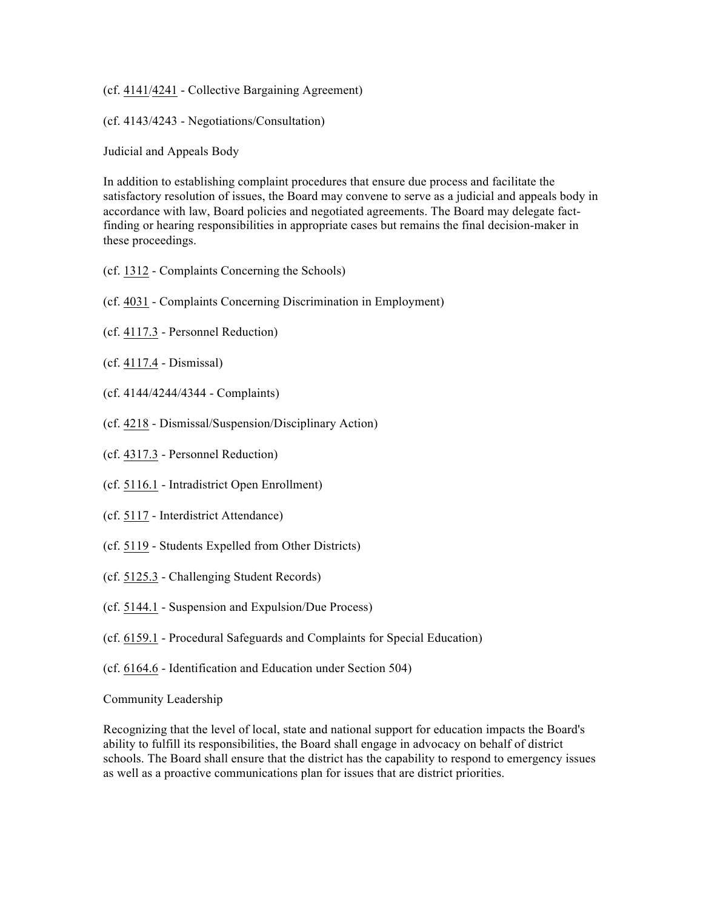(cf. 4141/4241 - Collective Bargaining Agreement)

(cf. 4143/4243 - Negotiations/Consultation)

Judicial and Appeals Body

In addition to establishing complaint procedures that ensure due process and facilitate the satisfactory resolution of issues, the Board may convene to serve as a judicial and appeals body in accordance with law, Board policies and negotiated agreements. The Board may delegate factfinding or hearing responsibilities in appropriate cases but remains the final decision-maker in these proceedings.

- (cf. 1312 Complaints Concerning the Schools)
- (cf. 4031 Complaints Concerning Discrimination in Employment)
- (cf. 4117.3 Personnel Reduction)
- (cf. 4117.4 Dismissal)
- (cf. 4144/4244/4344 Complaints)
- (cf. 4218 Dismissal/Suspension/Disciplinary Action)
- (cf. 4317.3 Personnel Reduction)
- (cf. 5116.1 Intradistrict Open Enrollment)
- (cf. 5117 Interdistrict Attendance)
- (cf. 5119 Students Expelled from Other Districts)
- (cf. 5125.3 Challenging Student Records)
- (cf. 5144.1 Suspension and Expulsion/Due Process)
- (cf. 6159.1 Procedural Safeguards and Complaints for Special Education)
- (cf. 6164.6 Identification and Education under Section 504)

Community Leadership

Recognizing that the level of local, state and national support for education impacts the Board's ability to fulfill its responsibilities, the Board shall engage in advocacy on behalf of district schools. The Board shall ensure that the district has the capability to respond to emergency issues as well as a proactive communications plan for issues that are district priorities.